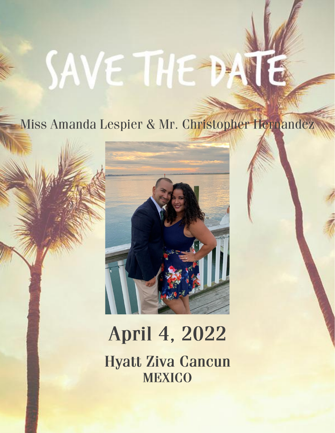# **SAVE THE**

### Miss Amanda Lespier & Mr. Christopher Hernandez



# April 4, 2022

**Hyatt Ziva Cancun MEXICO**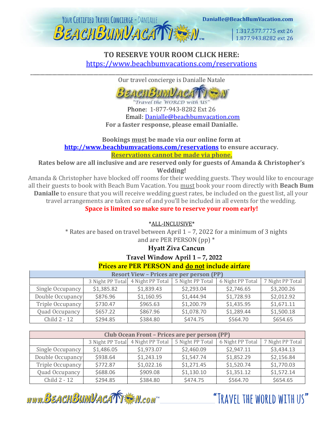

1.317.577.7775 ext 26 1.877,943,8282 ext 26

#### **TO RESERVE YOUR ROOM CLICK HERE:** <https://www.beachbumvacations.com/reservations> \_\_\_\_\_\_\_\_\_\_\_\_\_\_\_\_\_\_\_\_\_\_\_\_\_\_\_\_\_\_\_\_\_\_\_\_\_\_\_\_\_\_\_\_\_\_\_\_\_\_\_\_\_\_\_\_\_\_\_\_\_\_\_\_\_\_\_\_\_\_\_\_\_\_\_\_\_\_\_\_\_\_\_\_\_\_\_\_\_\_\_\_\_\_\_\_\_\_\_\_\_\_\_\_\_\_\_\_\_\_\_\_\_\_\_\_

Our travel concierge is Danialle Natale



Travel the WORLD with US Phone: 1-877-943-8282 Ext 26 Email: [Danialle@beachbumvacation.com](mailto:Danialle@beachbumvacation.com) **For a faster response, please email Danialle.**

**Bookings must be made via our online form at <http://www.beachbumvacations.com/reservations> [t](http://www.beachbumvacation.com/reservation)o ensure accuracy. Reservations cannot be made via phone.**

**Rates below are all inclusive and are reserved only for guests of Amanda & Christopher's Wedding!**

Amanda & Christopher have blocked off rooms for their wedding guests. They would like to encourage all their guests to book with Beach Bum Vacation. You must book your room directly with **Beach Bum Danialle** to ensure that you will receive wedding guest rates, be included on the guest list, all your travel arrangements are taken care of and you'll be included in all events for the wedding.

**Space is limited so make sure to reserve your room early!**

\*ALL-INCLUSIVE\*

\* Rates are based on travel between April 1 – 7, 2022 for a minimum of 3 nights and are PER PERSON (pp) \*

#### **Hyatt Ziva Cancun**

**Travel Window April 1 – 7, 2022**

#### **Prices are PER PERSON and do not include airfare**

| <b>Resort View - Prices are per person (PP)</b> |                  |                  |                  |                  |                  |  |  |  |
|-------------------------------------------------|------------------|------------------|------------------|------------------|------------------|--|--|--|
|                                                 | 3 Night PP Total | 4 Night PP Total | 5 Night PP Total | 6 Night PP Total | 7 Night PP Total |  |  |  |
| Single Occupancy                                | \$1,385.82       | \$1,839.43       | \$2,293.04       | \$2,746.65       | \$3,200.26       |  |  |  |
| Double Occupancy                                | \$876.96         | \$1,160.95       | \$1,444.94       | \$1,728.93       | \$2,012.92       |  |  |  |
| Triple Occupancy                                | \$730.47         | \$965.63         | \$1,200.79       | \$1,435.95       | \$1,671.11       |  |  |  |
| Quad Occupancy                                  | \$657.22         | \$867.96         | \$1,078.70       | \$1,289.44       | \$1,500.18       |  |  |  |
| Child 2 - 12                                    | \$294.85         | \$384.80         | \$474.75         | \$564.70         | \$654.65         |  |  |  |

| Club Ocean Front - Prices are per person (PP) |                  |                  |                  |                  |                  |  |  |  |
|-----------------------------------------------|------------------|------------------|------------------|------------------|------------------|--|--|--|
|                                               | 3 Night PP Total | 4 Night PP Total | 5 Night PP Total | 6 Night PP Total | 7 Night PP Total |  |  |  |
| Single Occupancy                              | \$1,486.05       | \$1,973.07       | \$2,460.09       | \$2,947.11       | \$3,434.13       |  |  |  |
| Double Occupancy                              | \$938.64         | \$1,243.19       | \$1,547.74       | \$1,852.29       | \$2,156.84       |  |  |  |
| Triple Occupancy                              | \$772.87         | \$1,022.16       | \$1,271.45       | \$1,520.74       | \$1,770.03       |  |  |  |
| Quad Occupancy                                | \$688.06         | \$909.08         | \$1,130.10       | \$1,351.12       | \$1,572.14       |  |  |  |
| Child 2 - 12                                  | \$294.85         | \$384.80         | \$474.75         | \$564.70         | \$654.65         |  |  |  |

www.BEACHBUMVACATTEN.com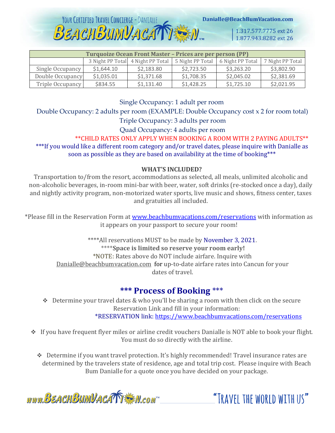Danialle@BeachBumVacation.com

1.317.577.7775 ext 26 1.877.943.8282 ext 26

| Turquoize Ocean Front Master - Prices are per person (PP) |            |                                   |                  |                  |                  |  |  |  |
|-----------------------------------------------------------|------------|-----------------------------------|------------------|------------------|------------------|--|--|--|
|                                                           |            | 3 Night PP Total 4 Night PP Total | 5 Night PP Total | 6 Night PP Total | 7 Night PP Total |  |  |  |
| Single Occupancy                                          | \$1,644.10 | \$2,183.80                        | \$2,723.50       | \$3,263.20       | \$3,802.90       |  |  |  |
| Double Occupancy                                          | \$1,035.01 | \$1,371.68                        | \$1,708.35       | \$2,045.02       | \$2,381.69       |  |  |  |
| Triple Occupancy                                          | \$834.55   | \$1,131.40                        | \$1,428.25       | \$1,725.10       | \$2,021.95       |  |  |  |

YOUR CERTIFIED TRAVEL CONCIERGE - DANIALLE

Single Occupancy: 1 adult per room

Double Occupancy: 2 adults per room (EXAMPLE: Double Occupancy cost x 2 for room total)

Triple Occupancy: 3 adults per room

Quad Occupancy: 4 adults per room

\*\*CHILD RATES ONLY APPLY WHEN BOOKING A ROOM WITH 2 PAYING ADULTS\*\* \*\*\*If you would like a different room category and/or travel dates, please inquire with Danialle as soon as possible as they are based on availability at the time of booking\*\*\*

#### **WHAT'S INCLUDED?**

Transportation to/from the resort, accommodations as selected, all meals, unlimited alcoholic and non-alcoholic beverages, in-room mini-bar with beer, water, soft drinks (re-stocked once a day), daily and nightly activity program, non-motorized water sports, live music and shows, fitness center, taxes and gratuities all included.

\*Please fill in the Reservation Form at [www.beachbumvacations.com/reservations](http://www.beachbumvacations.com/reservations) with information as it appears on your passport to secure your room!

> \*\*\*\*All reservations MUST to be made by November 3, 2021. \*\*\*\***Space is limited so reserve your room early!** \*NOTE: Rates above do NOT include airfare. Inquire with Danialle@beachbumvacation.com for up-to-date airfare rates into Cancun for your dates of travel.

#### **\*\*\* Process of Booking** \*\*\*

❖ Determine your travel dates & who you'll be sharing a room with then click on the secure Reservation Link and fill in your information: \*RESERVATION link[: https://www.beachbumvacations.com/reservations](https://www.beachbumvacations.com/reservations)

- ❖ If you have frequent flyer miles or airline credit vouchers Danialle is NOT able to book your flight. You must do so directly with the airline.
	- ❖ Determine if you want travel protection. It's highly recommended! Travel insurance rates are determined by the travelers state of residence, age and total trip cost. Please inquire with Beach Bum Danialle for a quote once you have decided on your package.

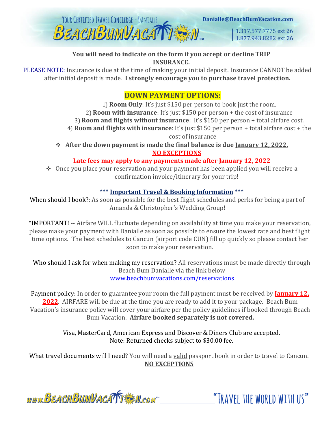

#### **You will need to indicate on the form if you accept or decline TRIP INSURANCE.**

PLEASE NOTE: Insurance is due at the time of making your initial deposit. Insurance CANNOT be added after initial deposit is made. **I strongly encourage you to purchase travel protection.**

#### **DOWN PAYMENT OPTIONS:**

1) **Room Only**: It's just \$150 per person to book just the room. 2) **Room with insurance**: It's just \$150 per person + the cost of insurance 3) **Room and flights without insurance**: It's \$150 per person + total airfare cost. 4) **Room and flights with insurance**: It's just \$150 per person + total airfare cost + the cost of insurance

❖ **After the down payment is made the final balance is due January 12, 2022. NO EXCEPTIONS**

#### **Late fees may apply to any payments made after January 12, 2022**

❖ Once you place your reservation and your payment has been applied you will receive a confirmation invoice/itinerary for your trip!

#### **\*\*\* Important Travel & Booking Information \*\*\***

When should I book?: As soon as possible for the best flight schedules and perks for being a part of Amanda & Christopher's Wedding Group!

\*IMPORTANT! -- Airfare WILL fluctuate depending on availability at time you make your reservation, please make your payment with Danialle as soon as possible to ensure the lowest rate and best flight time options. The best schedules to Cancun (airport code CUN) fill up quickly so please contact her soon to make your reservation.

Who should I ask for when making my reservation? All reservations must be made directly through Beach Bum Danialle via the link below [www.beachbumvacations.com/reservations](http://www.beachbumvacations.com/reservations)

Payment policy: In order to guarantee your room the full payment must be received by **January 12. 2022**. AIRFARE will be due at the time you are ready to add it to your package. Beach Bum Vacation's insurance policy will cover your airfare per the policy guidelines if booked through Beach Bum Vacation. **Airfare booked separately is not covered.**

> Visa, MasterCard, American Express and Discover & Diners Club are accepted. Note: Returned checks subject to \$30.00 fee.

What travel documents will I need? You will need a valid passport book in order to travel to Cancun. **NO EXCEPTIONS**

www.BEACHBUMVACATTEM.com